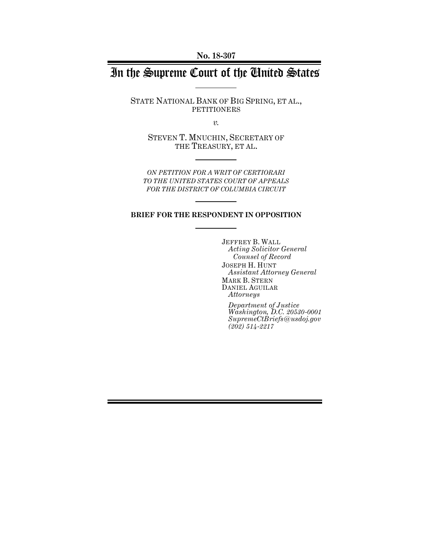**No. 18-307**

# In the Supreme Court of the United States

STATE NATIONAL BANK OF BIG SPRING, ET AL., PETITIONERS

*v.*

STEVEN T. MNUCHIN, SECRETARY OF THE TREASURY, ET AL.

*ON PETITION FOR A WRIT OF CERTIORARI TO THE UNITED STATES COURT OF APPEALS FOR THE DISTRICT OF COLUMBIA CIRCUIT*

#### **BRIEF FOR THE RESPONDENT IN OPPOSITION**

JEFFREY B. WALL *Acting Solicitor General Counsel of Record* JOSEPH H. HUNT *Assistant Attorney General* MARK B. STERN DANIEL AGUILAR *Attorneys*

*Department of Justice Washington, D.C. 20530-0001 SupremeCtBriefs@usdoj.gov (202) 514-2217*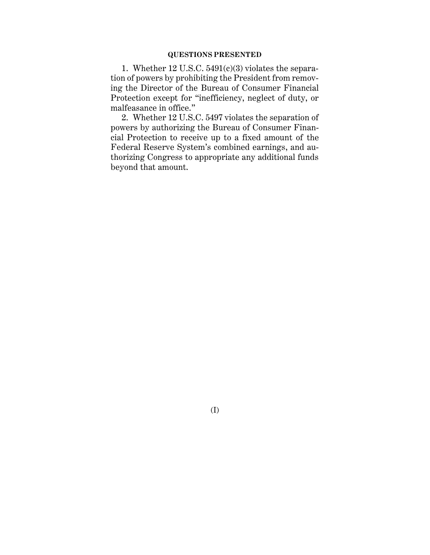### **QUESTIONS PRESENTED**

1. Whether 12 U.S.C. 5491(c)(3) violates the separation of powers by prohibiting the President from removing the Director of the Bureau of Consumer Financial Protection except for "inefficiency, neglect of duty, or malfeasance in office."

2. Whether 12 U.S.C. 5497 violates the separation of powers by authorizing the Bureau of Consumer Financial Protection to receive up to a fixed amount of the Federal Reserve System's combined earnings, and authorizing Congress to appropriate any additional funds beyond that amount.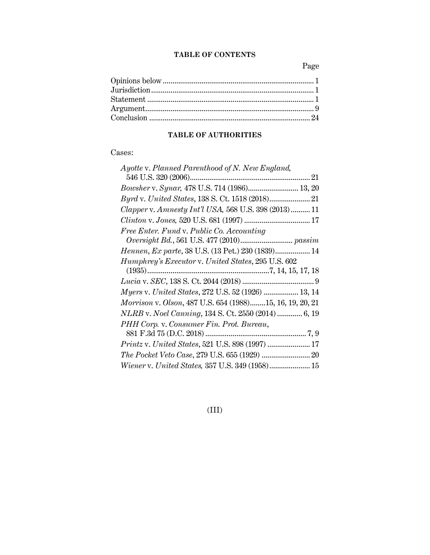### **TABLE OF CONTENTS**

Page

# **TABLE OF AUTHORITIES**

## Cases:

| Ayotte v. Planned Parenthood of N. New England,           |
|-----------------------------------------------------------|
|                                                           |
| Bowsher v. Synar, 478 U.S. 714 (1986) 13, 20              |
|                                                           |
| Clapper v. Amnesty Int'l USA, 568 U.S. 398 (2013) 11      |
|                                                           |
| Free Enter. Fund v. Public Co. Accounting                 |
| $\label{eq:1} Over sight~Bd., 561~U.S.~477~(2010)~passim$ |
| Hennen, Ex parte, 38 U.S. (13 Pet.) 230 (1839) 14         |
| Humphrey's Executor v. United States, 295 U.S. 602        |
|                                                           |
|                                                           |
| Myers v. United States, 272 U.S. 52 (1926)  13, 14        |
| Morrison v. Olson, 487 U.S. 654 (1988)15, 16, 19, 20, 21  |
| NLRB v. Noel Canning, 134 S. Ct. 2550 (2014)  6, 19       |
| PHH Corp. v. Consumer Fin. Prot. Bureau,                  |
|                                                           |
|                                                           |
|                                                           |
| Wiener v. United States, 357 U.S. 349 (1958) 15           |

(III)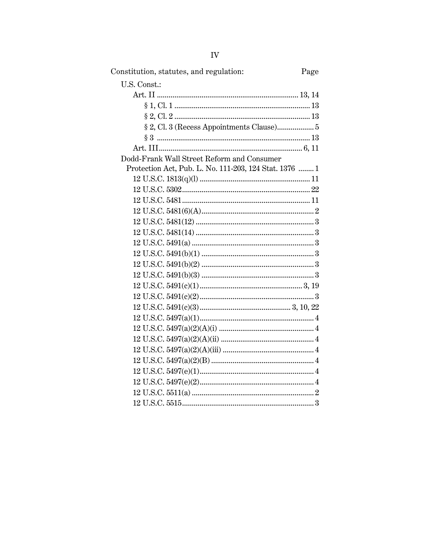| Constitution, statutes, and regulation:                | Page |
|--------------------------------------------------------|------|
| U.S. Const.:                                           |      |
|                                                        |      |
|                                                        |      |
|                                                        |      |
| § 2, Cl. 3 (Recess Appointments Clause) 5              |      |
|                                                        |      |
|                                                        |      |
| Dodd-Frank Wall Street Reform and Consumer             |      |
| Protection Act, Pub. L. No. 111-203, 124 Stat. 1376  1 |      |
|                                                        |      |
|                                                        |      |
|                                                        |      |
|                                                        |      |
|                                                        |      |
|                                                        |      |
|                                                        |      |
|                                                        |      |
|                                                        |      |
|                                                        |      |
|                                                        |      |
|                                                        |      |
|                                                        |      |
|                                                        |      |
|                                                        |      |
|                                                        |      |
|                                                        |      |
|                                                        |      |
|                                                        |      |
|                                                        |      |
|                                                        |      |
|                                                        |      |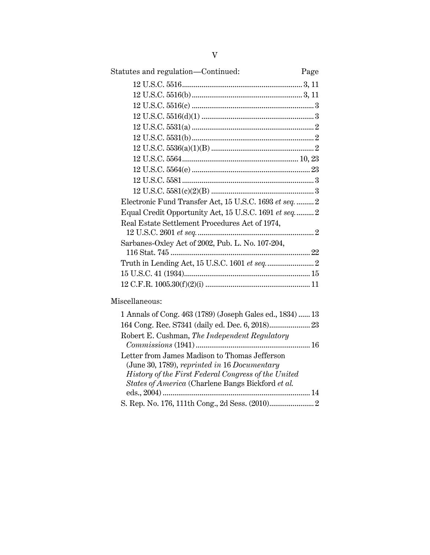| Statutes and regulation-Continued:                        | Page |
|-----------------------------------------------------------|------|
|                                                           |      |
|                                                           |      |
|                                                           |      |
|                                                           |      |
|                                                           |      |
|                                                           |      |
|                                                           |      |
|                                                           |      |
|                                                           |      |
|                                                           |      |
|                                                           |      |
| Electronic Fund Transfer Act, 15 U.S.C. 1693 et seq.  2   |      |
| Equal Credit Opportunity Act, 15 U.S.C. 1691 et seq 2     |      |
| Real Estate Settlement Procedures Act of 1974,            |      |
|                                                           |      |
| Sarbanes-Oxley Act of 2002, Pub. L. No. 107-204,          |      |
|                                                           |      |
|                                                           |      |
|                                                           |      |
|                                                           |      |
| Miscellaneous:                                            |      |
| 1 Annals of Cong. 463 (1789) (Joseph Gales ed., 1834)  13 |      |
| 164 Cong. Rec. S7341 (daily ed. Dec. 6, 2018) 23          |      |
| Robert E. Cushman, The Independent Regulatory             |      |
|                                                           |      |
| Letter from James Madison to Thomas Jefferson             |      |

(June 30, 1789), *reprinted in* 16 *Documentary History of the First Federal Congress of the United States of America* (Charlene Bangs Bickford *et al.*

eds., 2004) ............................................................................ 14 S. Rep. No. 176, 111th Cong., 2d Sess. (2010)....................... 2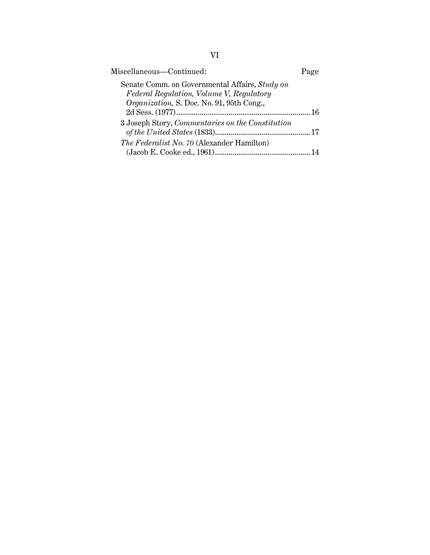| Miscellaneous—Continued:                                                                   | Page |
|--------------------------------------------------------------------------------------------|------|
| Senate Comm. on Governmental Affairs, Study on<br>Federal Regulation, Volume V, Regulatory |      |
| Organization, S. Doc. No. 91, 95th Cong.,                                                  | 16   |
| 3 Joseph Story, Commentaries on the Constitution                                           |      |
| The Federalist No. 70 (Alexander Hamilton)                                                 |      |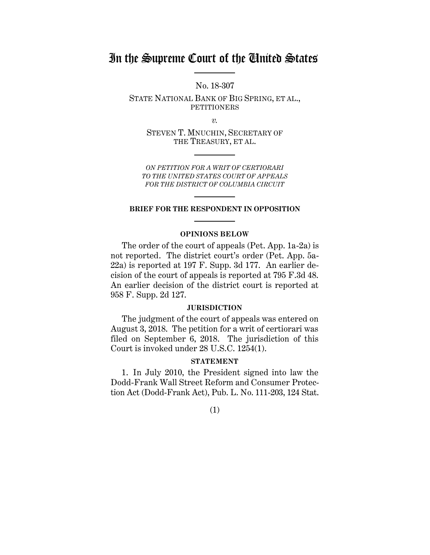# In the Supreme Court of the United States

No. 18-307

STATE NATIONAL BANK OF BIG SPRING, ET AL., PETITIONERS

*v.*

STEVEN T. MNUCHIN, SECRETARY OF THE TREASURY, ET AL.

*ON PETITION FOR A WRIT OF CERTIORARI TO THE UNITED STATES COURT OF APPEALS FOR THE DISTRICT OF COLUMBIA CIRCUIT*

#### **BRIEF FOR THE RESPONDENT IN OPPOSITION**

#### **OPINIONS BELOW**

The order of the court of appeals (Pet. App. 1a-2a) is not reported. The district court's order (Pet. App. 5a-22a) is reported at 197 F. Supp. 3d 177. An earlier decision of the court of appeals is reported at 795 F.3d 48. An earlier decision of the district court is reported at 958 F. Supp. 2d 127.

#### **JURISDICTION**

The judgment of the court of appeals was entered on August 3, 2018. The petition for a writ of certiorari was filed on September 6, 2018. The jurisdiction of this Court is invoked under 28 U.S.C. 1254(1).

#### **STATEMENT**

1. In July 2010, the President signed into law the Dodd-Frank Wall Street Reform and Consumer Protection Act (Dodd-Frank Act), Pub. L. No. 111-203, 124 Stat.

(1)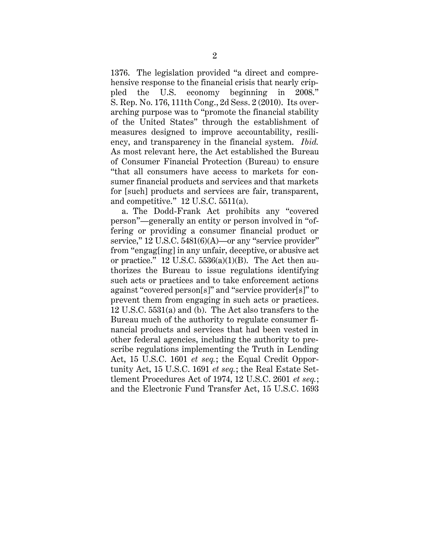1376. The legislation provided "a direct and comprehensive response to the financial crisis that nearly crippled the U.S. economy beginning in 2008." S. Rep. No. 176, 111th Cong., 2d Sess. 2 (2010). Its overarching purpose was to "promote the financial stability of the United States" through the establishment of measures designed to improve accountability, resiliency, and transparency in the financial system. *Ibid.* As most relevant here, the Act established the Bureau of Consumer Financial Protection (Bureau) to ensure "that all consumers have access to markets for consumer financial products and services and that markets for [such] products and services are fair, transparent, and competitive." 12 U.S.C. 5511(a).

a. The Dodd-Frank Act prohibits any "covered person"—generally an entity or person involved in "offering or providing a consumer financial product or service," 12 U.S.C. 5481(6)(A)—or any "service provider" from "engag[ing] in any unfair, deceptive, or abusive act or practice." 12 U.S.C.  $5536(a)(1)(B)$ . The Act then authorizes the Bureau to issue regulations identifying such acts or practices and to take enforcement actions against "covered person[s]" and "service provider[s]" to prevent them from engaging in such acts or practices. 12 U.S.C. 5531(a) and (b). The Act also transfers to the Bureau much of the authority to regulate consumer financial products and services that had been vested in other federal agencies, including the authority to prescribe regulations implementing the Truth in Lending Act, 15 U.S.C. 1601 *et seq.*; the Equal Credit Opportunity Act, 15 U.S.C. 1691 *et seq.*; the Real Estate Settlement Procedures Act of 1974, 12 U.S.C. 2601 *et seq.*; and the Electronic Fund Transfer Act, 15 U.S.C. 1693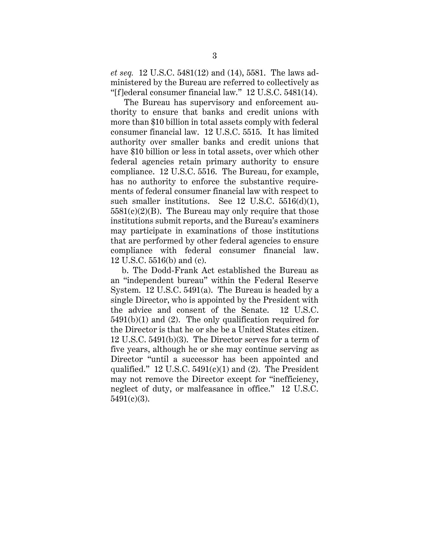*et seq.* 12 U.S.C. 5481(12) and (14), 5581. The laws administered by the Bureau are referred to collectively as "[f]ederal consumer financial law." 12 U.S.C. 5481(14).

The Bureau has supervisory and enforcement authority to ensure that banks and credit unions with more than \$10 billion in total assets comply with federal consumer financial law. 12 U.S.C. 5515. It has limited authority over smaller banks and credit unions that have \$10 billion or less in total assets, over which other federal agencies retain primary authority to ensure compliance. 12 U.S.C. 5516. The Bureau, for example, has no authority to enforce the substantive requirements of federal consumer financial law with respect to such smaller institutions. See 12 U.S.C. 5516(d)(1),  $5581(c)(2)(B)$ . The Bureau may only require that those institutions submit reports, and the Bureau's examiners may participate in examinations of those institutions that are performed by other federal agencies to ensure compliance with federal consumer financial law. 12 U.S.C. 5516(b) and (c).

b. The Dodd-Frank Act established the Bureau as an "independent bureau" within the Federal Reserve System. 12 U.S.C. 5491(a). The Bureau is headed by a single Director, who is appointed by the President with the advice and consent of the Senate. 12 U.S.C. 5491(b)(1) and (2). The only qualification required for the Director is that he or she be a United States citizen. 12 U.S.C. 5491(b)(3). The Director serves for a term of five years, although he or she may continue serving as Director "until a successor has been appointed and qualified." 12 U.S.C.  $5491(c)(1)$  and (2). The President may not remove the Director except for "inefficiency, neglect of duty, or malfeasance in office." 12 U.S.C. 5491(c)(3).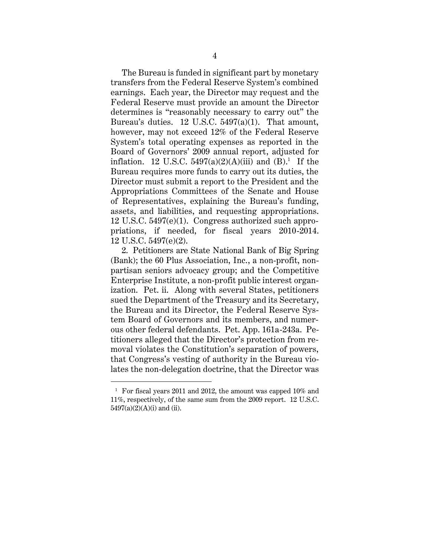The Bureau is funded in significant part by monetary transfers from the Federal Reserve System's combined earnings. Each year, the Director may request and the Federal Reserve must provide an amount the Director determines is "reasonably necessary to carry out" the Bureau's duties. 12 U.S.C. 5497(a)(1). That amount, however, may not exceed 12% of the Federal Reserve System's total operating expenses as reported in the Board of Governors' 2009 annual report, adjusted for inflation. 12 U.S.C.  $5497(a)(2)(A)(iii)$  and  $(B)^1$ . If the Bureau requires more funds to carry out its duties, the Director must submit a report to the President and the Appropriations Committees of the Senate and House of Representatives, explaining the Bureau's funding, assets, and liabilities, and requesting appropriations. 12 U.S.C. 5497(e)(1). Congress authorized such appropriations, if needed, for fiscal years 2010-2014. 12 U.S.C. 5497(e)(2).

2. Petitioners are State National Bank of Big Spring (Bank); the 60 Plus Association, Inc., a non-profit, nonpartisan seniors advocacy group; and the Competitive Enterprise Institute, a non-profit public interest organization. Pet. ii. Along with several States, petitioners sued the Department of the Treasury and its Secretary, the Bureau and its Director, the Federal Reserve System Board of Governors and its members, and numerous other federal defendants. Pet. App. 161a-243a. Petitioners alleged that the Director's protection from removal violates the Constitution's separation of powers, that Congress's vesting of authority in the Bureau violates the non-delegation doctrine, that the Director was

<sup>&</sup>lt;sup>1</sup> For fiscal years 2011 and 2012, the amount was capped 10% and 11%, respectively, of the same sum from the 2009 report. 12 U.S.C. 5497(a)(2)(A)(i) and (ii).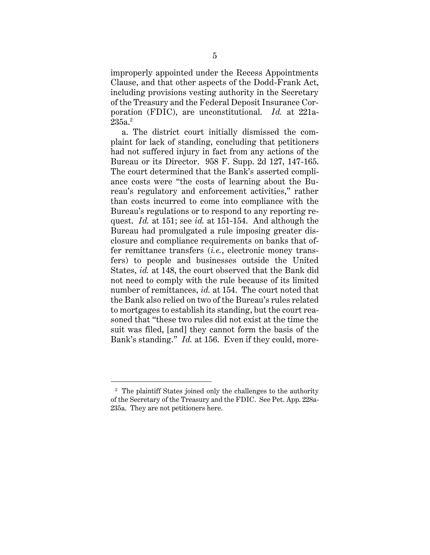improperly appointed under the Recess Appointments Clause, and that other aspects of the Dodd-Frank Act, including provisions vesting authority in the Secretary of the Treasury and the Federal Deposit Insurance Corporation (FDIC), are unconstitutional. *Id.* at 221a- $235$ a. $^2\,$ 

a. The district court initially dismissed the complaint for lack of standing, concluding that petitioners had not suffered injury in fact from any actions of the Bureau or its Director. 958 F. Supp. 2d 127, 147-165. The court determined that the Bank's asserted compliance costs were "the costs of learning about the Bureau's regulatory and enforcement activities," rather than costs incurred to come into compliance with the Bureau's regulations or to respond to any reporting request. *Id.* at 151; see *id.* at 151-154. And although the Bureau had promulgated a rule imposing greater disclosure and compliance requirements on banks that offer remittance transfers (*i.e.*, electronic money transfers) to people and businesses outside the United States, *id.* at 148, the court observed that the Bank did not need to comply with the rule because of its limited number of remittances, *id.* at 154. The court noted that the Bank also relied on two of the Bureau's rules related to mortgages to establish its standing, but the court reasoned that "these two rules did not exist at the time the suit was filed, [and] they cannot form the basis of the Bank's standing." *Id.* at 156. Even if they could, more-

<sup>2</sup> The plaintiff States joined only the challenges to the authority of the Secretary of the Treasury and the FDIC. See Pet. App. 228a-235a. They are not petitioners here.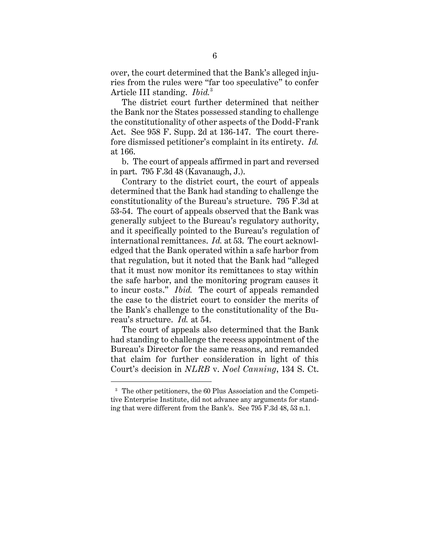over, the court determined that the Bank's alleged injuries from the rules were "far too speculative" to confer Article III standing. *Ibid.*<sup>3</sup>

The district court further determined that neither the Bank nor the States possessed standing to challenge the constitutionality of other aspects of the Dodd-Frank Act. See 958 F. Supp. 2d at 136-147. The court therefore dismissed petitioner's complaint in its entirety. *Id.* at 166.

b. The court of appeals affirmed in part and reversed in part. 795 F.3d 48 (Kavanaugh, J.).

Contrary to the district court, the court of appeals determined that the Bank had standing to challenge the constitutionality of the Bureau's structure. 795 F.3d at 53-54. The court of appeals observed that the Bank was generally subject to the Bureau's regulatory authority, and it specifically pointed to the Bureau's regulation of international remittances. *Id.* at 53. The court acknowledged that the Bank operated within a safe harbor from that regulation, but it noted that the Bank had "alleged that it must now monitor its remittances to stay within the safe harbor, and the monitoring program causes it to incur costs." *Ibid.* The court of appeals remanded the case to the district court to consider the merits of the Bank's challenge to the constitutionality of the Bureau's structure. *Id.* at 54.

The court of appeals also determined that the Bank had standing to challenge the recess appointment of the Bureau's Director for the same reasons, and remanded that claim for further consideration in light of this Court's decision in *NLRB* v. *Noel Canning*, 134 S. Ct.

<sup>3</sup> The other petitioners, the 60 Plus Association and the Competitive Enterprise Institute, did not advance any arguments for standing that were different from the Bank's. See 795 F.3d 48, 53 n.1.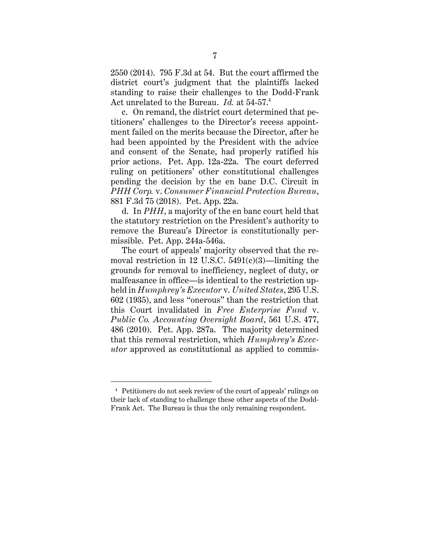2550 (2014). 795 F.3d at 54. But the court affirmed the district court's judgment that the plaintiffs lacked standing to raise their challenges to the Dodd-Frank Act unrelated to the Bureau. *Id.* at 54-57.<sup>4</sup>

c. On remand, the district court determined that petitioners' challenges to the Director's recess appointment failed on the merits because the Director, after he had been appointed by the President with the advice and consent of the Senate, had properly ratified his prior actions. Pet. App. 12a-22a. The court deferred ruling on petitioners' other constitutional challenges pending the decision by the en banc D.C. Circuit in *PHH Corp.* v. *Consumer Financial Protection Bureau*, 881 F.3d 75 (2018). Pet. App. 22a.

d. In *PHH*, a majority of the en banc court held that the statutory restriction on the President's authority to remove the Bureau's Director is constitutionally permissible. Pet. App. 244a-546a.

The court of appeals' majority observed that the removal restriction in 12 U.S.C. 5491(c)(3)—limiting the grounds for removal to inefficiency, neglect of duty, or malfeasance in office—is identical to the restriction upheld in *Humphrey's Executor* v. *United States*, 295 U.S. 602 (1935), and less "onerous" than the restriction that this Court invalidated in *Free Enterprise Fund* v. *Public Co. Accounting Oversight Board*, 561 U.S. 477, 486 (2010). Pet. App. 287a. The majority determined that this removal restriction, which *Humphrey's Executor* approved as constitutional as applied to commis-

<sup>4</sup> Petitioners do not seek review of the court of appeals' rulings on their lack of standing to challenge these other aspects of the Dodd-Frank Act. The Bureau is thus the only remaining respondent.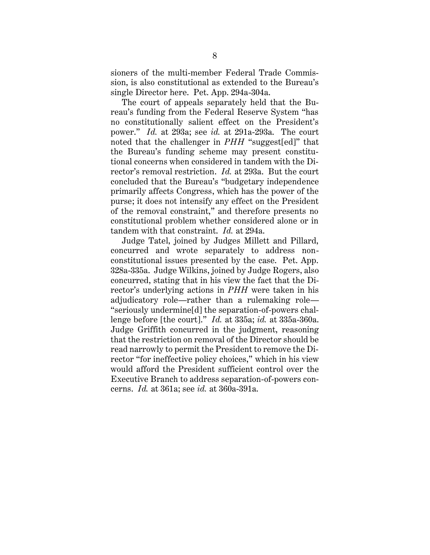sioners of the multi-member Federal Trade Commission, is also constitutional as extended to the Bureau's single Director here. Pet. App. 294a-304a.

The court of appeals separately held that the Bureau's funding from the Federal Reserve System "has no constitutionally salient effect on the President's power." *Id.* at 293a; see *id.* at 291a-293a. The court noted that the challenger in *PHH* "suggest[ed]" that the Bureau's funding scheme may present constitutional concerns when considered in tandem with the Director's removal restriction. *Id.* at 293a. But the court concluded that the Bureau's "budgetary independence primarily affects Congress, which has the power of the purse; it does not intensify any effect on the President of the removal constraint," and therefore presents no constitutional problem whether considered alone or in tandem with that constraint. *Id.* at 294a.

Judge Tatel, joined by Judges Millett and Pillard, concurred and wrote separately to address nonconstitutional issues presented by the case. Pet. App. 328a-335a. Judge Wilkins, joined by Judge Rogers, also concurred, stating that in his view the fact that the Director's underlying actions in *PHH* were taken in his adjudicatory role—rather than a rulemaking role— "seriously undermine[d] the separation-of-powers challenge before [the court]." *Id.* at 335a; *id.* at 335a-360a. Judge Griffith concurred in the judgment, reasoning that the restriction on removal of the Director should be read narrowly to permit the President to remove the Director "for ineffective policy choices," which in his view would afford the President sufficient control over the Executive Branch to address separation-of-powers concerns. *Id.* at 361a; see *id.* at 360a-391a.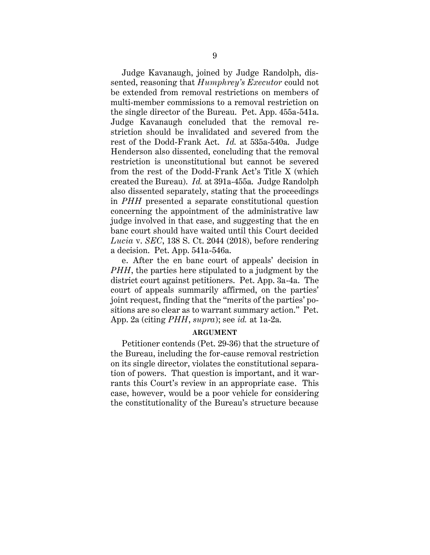Judge Kavanaugh, joined by Judge Randolph, dissented, reasoning that *Humphrey's Executor* could not be extended from removal restrictions on members of multi-member commissions to a removal restriction on the single director of the Bureau. Pet. App. 455a-541a. Judge Kavanaugh concluded that the removal restriction should be invalidated and severed from the rest of the Dodd-Frank Act. *Id.* at 535a-540a. Judge Henderson also dissented, concluding that the removal restriction is unconstitutional but cannot be severed from the rest of the Dodd-Frank Act's Title X (which created the Bureau). *Id.* at 391a-455a. Judge Randolph also dissented separately, stating that the proceedings in *PHH* presented a separate constitutional question concerning the appointment of the administrative law judge involved in that case, and suggesting that the en banc court should have waited until this Court decided *Lucia* v. *SEC*, 138 S. Ct. 2044 (2018), before rendering a decision. Pet. App. 541a-546a.

e. After the en banc court of appeals' decision in *PHH*, the parties here stipulated to a judgment by the district court against petitioners. Pet. App. 3a-4a. The court of appeals summarily affirmed, on the parties' joint request, finding that the "merits of the parties' positions are so clear as to warrant summary action." Pet. App. 2a (citing *PHH*, *supra*); see *id.* at 1a-2a.

#### **ARGUMENT**

Petitioner contends (Pet. 29-36) that the structure of the Bureau, including the for-cause removal restriction on its single director, violates the constitutional separation of powers. That question is important, and it warrants this Court's review in an appropriate case. This case, however, would be a poor vehicle for considering the constitutionality of the Bureau's structure because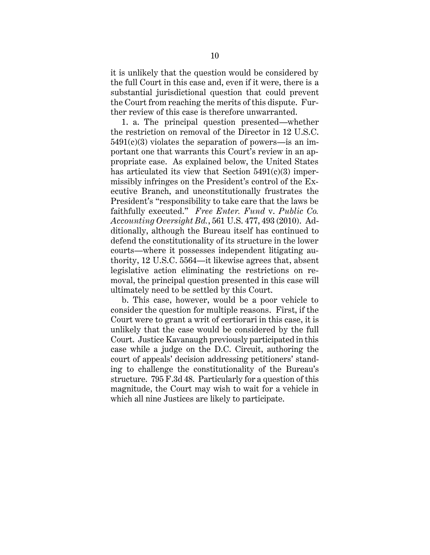it is unlikely that the question would be considered by the full Court in this case and, even if it were, there is a substantial jurisdictional question that could prevent the Court from reaching the merits of this dispute. Further review of this case is therefore unwarranted.

1. a. The principal question presented—whether the restriction on removal of the Director in 12 U.S.C.  $5491(c)(3)$  violates the separation of powers—is an important one that warrants this Court's review in an appropriate case. As explained below, the United States has articulated its view that Section  $5491(c)(3)$  impermissibly infringes on the President's control of the Executive Branch, and unconstitutionally frustrates the President's "responsibility to take care that the laws be faithfully executed." *Free Enter. Fund* v. *Public Co. Accounting Oversight Bd.*, 561 U.S. 477, 493 (2010). Additionally, although the Bureau itself has continued to defend the constitutionality of its structure in the lower courts—where it possesses independent litigating authority, 12 U.S.C. 5564—it likewise agrees that, absent legislative action eliminating the restrictions on removal, the principal question presented in this case will ultimately need to be settled by this Court.

b. This case, however, would be a poor vehicle to consider the question for multiple reasons. First, if the Court were to grant a writ of certiorari in this case, it is unlikely that the case would be considered by the full Court. Justice Kavanaugh previously participated in this case while a judge on the D.C. Circuit, authoring the court of appeals' decision addressing petitioners' standing to challenge the constitutionality of the Bureau's structure. 795 F.3d 48. Particularly for a question of this magnitude, the Court may wish to wait for a vehicle in which all nine Justices are likely to participate.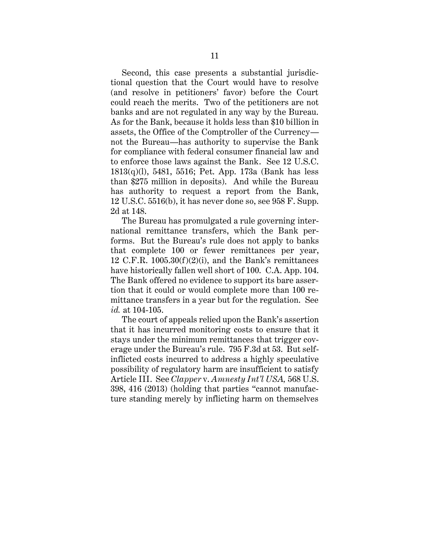Second, this case presents a substantial jurisdictional question that the Court would have to resolve (and resolve in petitioners' favor) before the Court could reach the merits. Two of the petitioners are not banks and are not regulated in any way by the Bureau. As for the Bank, because it holds less than \$10 billion in assets, the Office of the Comptroller of the Currency not the Bureau—has authority to supervise the Bank for compliance with federal consumer financial law and to enforce those laws against the Bank. See 12 U.S.C. 1813(q)(l), 5481, 5516; Pet. App. 173a (Bank has less than \$275 million in deposits). And while the Bureau has authority to request a report from the Bank, 12 U.S.C. 5516(b), it has never done so, see 958 F. Supp. 2d at 148.

The Bureau has promulgated a rule governing international remittance transfers, which the Bank performs. But the Bureau's rule does not apply to banks that complete 100 or fewer remittances per year, 12 C.F.R.  $1005.30(f)(2)(i)$ , and the Bank's remittances have historically fallen well short of 100. C.A. App. 104. The Bank offered no evidence to support its bare assertion that it could or would complete more than 100 remittance transfers in a year but for the regulation. See *id.* at 104-105.

The court of appeals relied upon the Bank's assertion that it has incurred monitoring costs to ensure that it stays under the minimum remittances that trigger coverage under the Bureau's rule. 795 F.3d at 53. But selfinflicted costs incurred to address a highly speculative possibility of regulatory harm are insufficient to satisfy Article III. See *Clapper* v. *Amnesty Int'l USA,* 568 U.S. 398, 416 (2013) (holding that parties "cannot manufacture standing merely by inflicting harm on themselves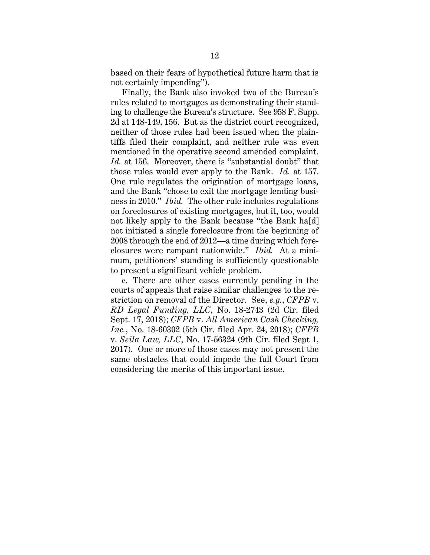based on their fears of hypothetical future harm that is not certainly impending").

Finally, the Bank also invoked two of the Bureau's rules related to mortgages as demonstrating their standing to challenge the Bureau's structure. See 958 F. Supp. 2d at 148-149, 156. But as the district court recognized, neither of those rules had been issued when the plaintiffs filed their complaint, and neither rule was even mentioned in the operative second amended complaint. *Id.* at 156. Moreover, there is "substantial doubt" that those rules would ever apply to the Bank. *Id.* at 157. One rule regulates the origination of mortgage loans, and the Bank "chose to exit the mortgage lending business in 2010." *Ibid.* The other rule includes regulations on foreclosures of existing mortgages, but it, too, would not likely apply to the Bank because "the Bank ha[d] not initiated a single foreclosure from the beginning of 2008 through the end of 2012—a time during which foreclosures were rampant nationwide." *Ibid.* At a minimum, petitioners' standing is sufficiently questionable to present a significant vehicle problem.

c. There are other cases currently pending in the courts of appeals that raise similar challenges to the restriction on removal of the Director. See, *e.g.*, *CFPB* v. *RD Legal Funding, LLC*, No. 18-2743 (2d Cir. filed Sept. 17, 2018); *CFPB* v. *All American Cash Checking, Inc.*, No. 18-60302 (5th Cir. filed Apr. 24, 2018); *CFPB*  v. *Seila Law, LLC*, No. 17-56324 (9th Cir. filed Sept 1, 2017). One or more of those cases may not present the same obstacles that could impede the full Court from considering the merits of this important issue.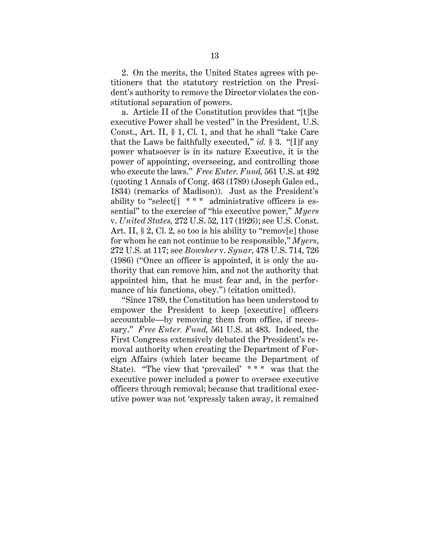2. On the merits, the United States agrees with petitioners that the statutory restriction on the President's authority to remove the Director violates the constitutional separation of powers.

a. Article II of the Constitution provides that "[t]he executive Power shall be vested" in the President, U.S. Const., Art. II, § 1, Cl. 1, and that he shall "take Care that the Laws be faithfully executed," *id.* § 3. "[I]f any power whatsoever is in its nature Executive, it is the power of appointing, overseeing, and controlling those who execute the laws." *Free Enter. Fund,* 561 U.S. at 492 (quoting 1 Annals of Cong. 463 (1789) (Joseph Gales ed., 1834) (remarks of Madison)). Just as the President's ability to "select<sup> $\lceil$  \* \* \* administrative officers is es-</sup> sential" to the exercise of "his executive power," *Myers* v. *United States,* 272 U.S. 52, 117 (1926); see U.S. Const. Art. II, § 2, Cl. 2, so too is his ability to "remov[e] those for whom he can not continue to be responsible," *Myers*, 272 U.S. at 117; see *Bowsher* v. *Synar*, 478 U.S. 714, 726 (1986) ("Once an officer is appointed, it is only the authority that can remove him, and not the authority that appointed him, that he must fear and, in the performance of his functions, obey.") (citation omitted).

"Since 1789, the Constitution has been understood to empower the President to keep [executive] officers accountable—by removing them from office, if necessary." *Free Enter. Fund,* 561 U.S. at 483. Indeed, the First Congress extensively debated the President's removal authority when creating the Department of Foreign Affairs (which later became the Department of State). "The view that 'prevailed' \* \* \* was that the executive power included a power to oversee executive officers through removal; because that traditional executive power was not 'expressly taken away, it remained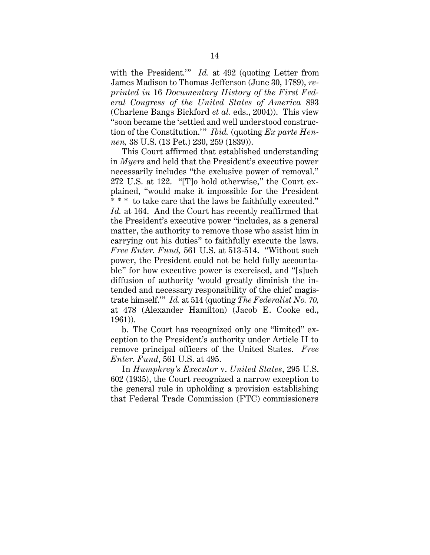with the President.'" *Id.* at 492 (quoting Letter from James Madison to Thomas Jefferson (June 30, 1789), *reprinted in* 16 *Documentary History of the First Federal Congress of the United States of America* 893 (Charlene Bangs Bickford *et al.* eds., 2004)). This view "soon became the 'settled and well understood construction of the Constitution.'" *Ibid.* (quoting *Ex parte Hennen,* 38 U.S. (13 Pet.) 230, 259 (1839)).

This Court affirmed that established understanding in *Myers* and held that the President's executive power necessarily includes "the exclusive power of removal." 272 U.S. at 122. "[T]o hold otherwise," the Court explained, "would make it impossible for the President \* \* \* to take care that the laws be faithfully executed." *Id.* at 164. And the Court has recently reaffirmed that the President's executive power "includes, as a general matter, the authority to remove those who assist him in carrying out his duties" to faithfully execute the laws. *Free Enter. Fund,* 561 U.S. at 513-514. "Without such power, the President could not be held fully accountable" for how executive power is exercised, and "[s]uch diffusion of authority 'would greatly diminish the intended and necessary responsibility of the chief magistrate himself.'" *Id.* at 514 (quoting *The Federalist No. 70,* at 478 (Alexander Hamilton) (Jacob E. Cooke ed., 1961)).

b. The Court has recognized only one "limited" exception to the President's authority under Article II to remove principal officers of the United States. *Free Enter. Fund*, 561 U.S. at 495.

In *Humphrey's Executor* v. *United States*, 295 U.S. 602 (1935), the Court recognized a narrow exception to the general rule in upholding a provision establishing that Federal Trade Commission (FTC) commissioners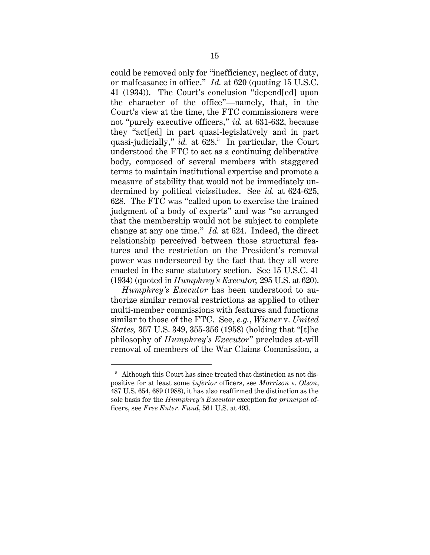could be removed only for "inefficiency, neglect of duty, or malfeasance in office." *Id.* at 620 (quoting 15 U.S.C. 41 (1934)). The Court's conclusion "depend[ed] upon the character of the office"—namely, that, in the Court's view at the time, the FTC commissioners were not "purely executive officers," *id.* at 631-632, because they "act[ed] in part quasi-legislatively and in part quasi-judicially," *id.* at 628.<sup>5</sup> In particular, the Court understood the FTC to act as a continuing deliberative body, composed of several members with staggered terms to maintain institutional expertise and promote a measure of stability that would not be immediately undermined by political vicissitudes. See *id.* at 624-625, 628. The FTC was "called upon to exercise the trained judgment of a body of experts" and was "so arranged that the membership would not be subject to complete change at any one time." *Id.* at 624. Indeed, the direct relationship perceived between those structural features and the restriction on the President's removal power was underscored by the fact that they all were enacted in the same statutory section. See 15 U.S.C. 41 (1934) (quoted in *Humphrey's Executor,* 295 U.S. at 620).

*Humphrey's Executor* has been understood to authorize similar removal restrictions as applied to other multi-member commissions with features and functions similar to those of the FTC. See, *e.g.*, *Wiener* v. *United States,* 357 U.S. 349, 355-356 (1958) (holding that "[t]he philosophy of *Humphrey's Executor*" precludes at-will removal of members of the War Claims Commission, a

<sup>&</sup>lt;sup>5</sup> Although this Court has since treated that distinction as not dispositive for at least some *inferior* officers, see *Morrison* v. *Olson*, 487 U.S. 654, 689 (1988), it has also reaffirmed the distinction as the sole basis for the *Humphrey's Executor* exception for *principal* officers, see *Free Enter. Fund*, 561 U.S. at 493.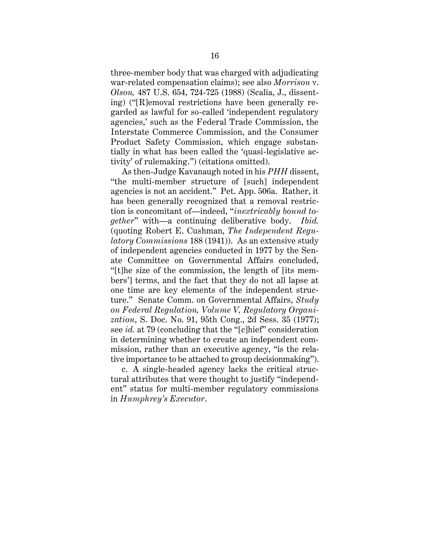three-member body that was charged with adjudicating war-related compensation claims); see also *Morrison* v. *Olson,* 487 U.S. 654, 724-725 (1988) (Scalia, J., dissenting) ("[R]emoval restrictions have been generally regarded as lawful for so-called 'independent regulatory agencies,' such as the Federal Trade Commission, the Interstate Commerce Commission, and the Consumer Product Safety Commission, which engage substantially in what has been called the 'quasi-legislative activity' of rulemaking.") (citations omitted).

As then-Judge Kavanaugh noted in his *PHH* dissent, "the multi-member structure of [such] independent agencies is not an accident." Pet. App. 506a. Rather, it has been generally recognized that a removal restriction is concomitant of—indeed, "*inextricably bound together*" with—a continuing deliberative body. *Ibid.* (quoting Robert E. Cushman, *The Independent Regulatory Commissions* 188 (1941)). As an extensive study of independent agencies conducted in 1977 by the Senate Committee on Governmental Affairs concluded, "[t]he size of the commission, the length of [its members'] terms, and the fact that they do not all lapse at one time are key elements of the independent structure." Senate Comm. on Governmental Affairs, *Study on Federal Regulation, Volume V, Regulatory Organization*, S. Doc. No. 91, 95th Cong., 2d Sess. 35 (1977); see *id.* at 79 (concluding that the "[c]hief" consideration in determining whether to create an independent commission, rather than an executive agency, "is the relative importance to be attached to group decisionmaking").

c. A single-headed agency lacks the critical structural attributes that were thought to justify "independent" status for multi-member regulatory commissions in *Humphrey's Executor*.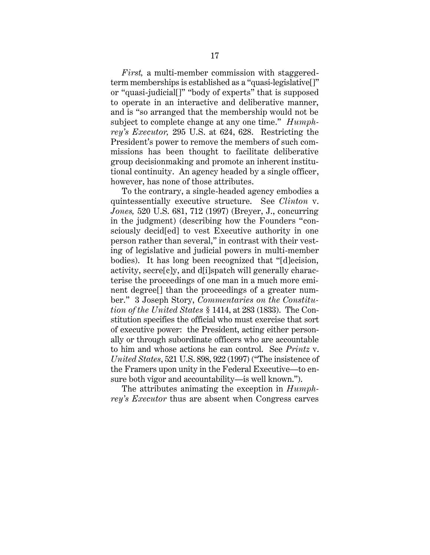*First,* a multi-member commission with staggeredterm memberships is established as a "quasi-legislative[]" or "quasi-judicial[]" "body of experts" that is supposed to operate in an interactive and deliberative manner, and is "so arranged that the membership would not be subject to complete change at any one time." *Humphrey's Executor,* 295 U.S. at 624, 628. Restricting the President's power to remove the members of such commissions has been thought to facilitate deliberative group decisionmaking and promote an inherent institutional continuity. An agency headed by a single officer, however, has none of those attributes.

To the contrary, a single-headed agency embodies a quintessentially executive structure. See *Clinton* v. *Jones,* 520 U.S. 681, 712 (1997) (Breyer, J., concurring in the judgment) (describing how the Founders "consciously decid[ed] to vest Executive authority in one person rather than several," in contrast with their vesting of legislative and judicial powers in multi-member bodies). It has long been recognized that "[d]ecision, activity, secre[c]y, and d[i]spatch will generally characterise the proceedings of one man in a much more eminent degree[] than the proceedings of a greater number." 3 Joseph Story, *Commentaries on the Constitution of the United States* § 1414, at 283 (1833). The Constitution specifies the official who must exercise that sort of executive power: the President, acting either personally or through subordinate officers who are accountable to him and whose actions he can control. See *Printz* v. *United States*, 521 U.S. 898, 922 (1997) ("The insistence of the Framers upon unity in the Federal Executive—to ensure both vigor and accountability—is well known.").

The attributes animating the exception in *Humphrey's Executor* thus are absent when Congress carves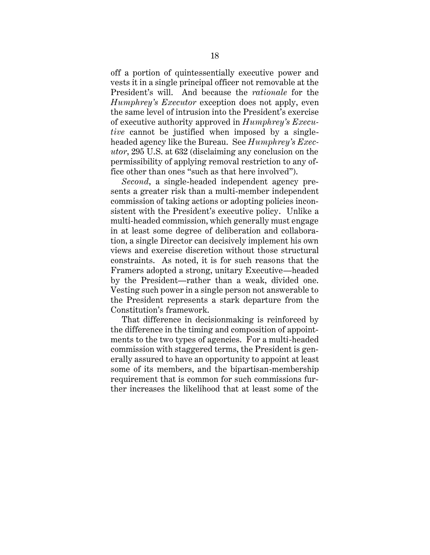off a portion of quintessentially executive power and vests it in a single principal officer not removable at the President's will. And because the *rationale* for the *Humphrey's Executor* exception does not apply, even the same level of intrusion into the President's exercise of executive authority approved in *Humphrey's Executive* cannot be justified when imposed by a singleheaded agency like the Bureau. See *Humphrey's Executor*, 295 U.S. at 632 (disclaiming any conclusion on the permissibility of applying removal restriction to any office other than ones "such as that here involved").

*Second*, a single-headed independent agency presents a greater risk than a multi-member independent commission of taking actions or adopting policies inconsistent with the President's executive policy. Unlike a multi-headed commission, which generally must engage in at least some degree of deliberation and collaboration, a single Director can decisively implement his own views and exercise discretion without those structural constraints. As noted, it is for such reasons that the Framers adopted a strong, unitary Executive—headed by the President—rather than a weak, divided one. Vesting such power in a single person not answerable to the President represents a stark departure from the Constitution's framework.

That difference in decisionmaking is reinforced by the difference in the timing and composition of appointments to the two types of agencies. For a multi-headed commission with staggered terms, the President is generally assured to have an opportunity to appoint at least some of its members, and the bipartisan-membership requirement that is common for such commissions further increases the likelihood that at least some of the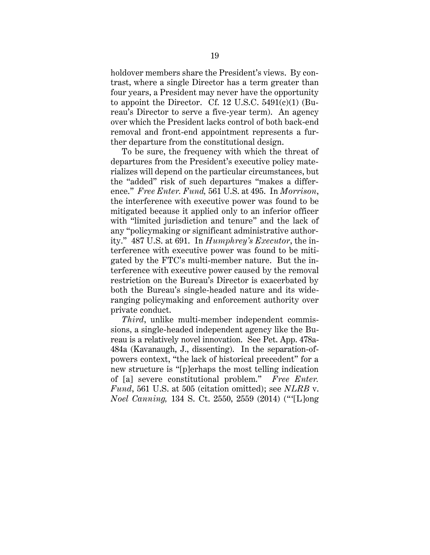holdover members share the President's views. By contrast, where a single Director has a term greater than four years, a President may never have the opportunity to appoint the Director. Cf. 12 U.S.C.  $5491(c)(1)$  (Bureau's Director to serve a five-year term). An agency over which the President lacks control of both back-end removal and front-end appointment represents a further departure from the constitutional design.

To be sure, the frequency with which the threat of departures from the President's executive policy materializes will depend on the particular circumstances, but the "added" risk of such departures "makes a difference." *Free Enter. Fund,* 561 U.S. at 495. In *Morrison*, the interference with executive power was found to be mitigated because it applied only to an inferior officer with "limited jurisdiction and tenure" and the lack of any "policymaking or significant administrative authority." 487 U.S. at 691. In *Humphrey's Executor*, the interference with executive power was found to be mitigated by the FTC's multi-member nature. But the interference with executive power caused by the removal restriction on the Bureau's Director is exacerbated by both the Bureau's single-headed nature and its wideranging policymaking and enforcement authority over private conduct.

*Third*, unlike multi-member independent commissions, a single-headed independent agency like the Bureau is a relatively novel innovation. See Pet. App. 478a-484a (Kavanaugh, J., dissenting). In the separation-ofpowers context, "the lack of historical precedent" for a new structure is "[p]erhaps the most telling indication of [a] severe constitutional problem." *Free Enter. Fund*, 561 U.S. at 505 (citation omitted); see *NLRB* v. *Noel Canning,* 134 S. Ct. 2550, 2559 (2014) ("'[L]ong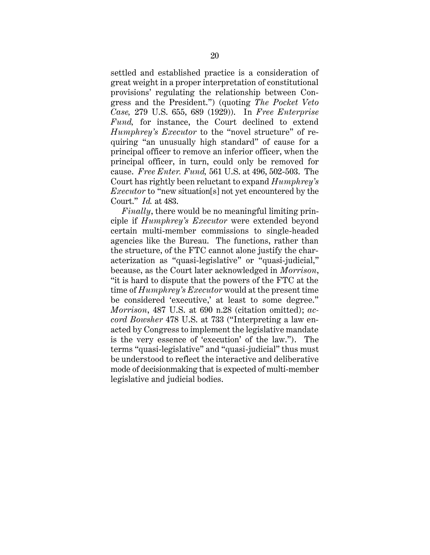settled and established practice is a consideration of great weight in a proper interpretation of constitutional provisions' regulating the relationship between Congress and the President.") (quoting *The Pocket Veto Case,* 279 U.S. 655, 689 (1929)). In *Free Enterprise Fund,* for instance, the Court declined to extend *Humphrey's Executor* to the "novel structure" of requiring "an unusually high standard" of cause for a principal officer to remove an inferior officer, when the principal officer, in turn, could only be removed for cause. *Free Enter. Fund,* 561 U.S. at 496, 502-503. The Court has rightly been reluctant to expand *Humphrey's Executor* to "new situation[s] not yet encountered by the Court." *Id.* at 483.

*Finally*, there would be no meaningful limiting principle if *Humphrey's Executor* were extended beyond certain multi-member commissions to single-headed agencies like the Bureau. The functions, rather than the structure, of the FTC cannot alone justify the characterization as "quasi-legislative" or "quasi-judicial," because, as the Court later acknowledged in *Morrison*, "it is hard to dispute that the powers of the FTC at the time of *Humphrey's Executor* would at the present time be considered 'executive,' at least to some degree." *Morrison*, 487 U.S. at 690 n.28 (citation omitted); *accord Bowsher* 478 U.S. at 733 ("Interpreting a law enacted by Congress to implement the legislative mandate is the very essence of 'execution' of the law."). The terms "quasi-legislative" and "quasi-judicial" thus must be understood to reflect the interactive and deliberative mode of decisionmaking that is expected of multi-member legislative and judicial bodies.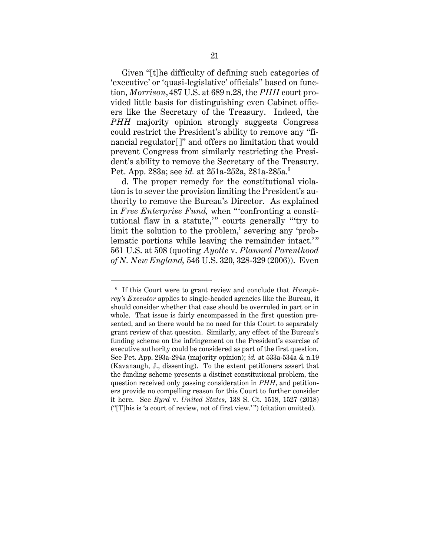Given "[t]he difficulty of defining such categories of 'executive' or 'quasi-legislative' officials" based on function, *Morrison*, 487 U.S. at 689 n.28, the *PHH* court provided little basis for distinguishing even Cabinet officers like the Secretary of the Treasury. Indeed, the *PHH* majority opinion strongly suggests Congress could restrict the President's ability to remove any "financial regulator[]" and offers no limitation that would prevent Congress from similarly restricting the President's ability to remove the Secretary of the Treasury. Pet. App. 283a; see *id.* at 251a-252a, 281a-285a.<sup>6</sup>

d. The proper remedy for the constitutional violation is to sever the provision limiting the President's authority to remove the Bureau's Director. As explained in *Free Enterprise Fund,* when "'confronting a constitutional flaw in a statute,'" courts generally "'try to limit the solution to the problem,' severing any 'problematic portions while leaving the remainder intact.'" 561 U.S. at 508 (quoting *Ayotte* v. *Planned Parenthood of N. New England,* 546 U.S. 320, 328-329 (2006)). Even

<sup>6</sup> If this Court were to grant review and conclude that *Humphrey's Executor* applies to single-headed agencies like the Bureau, it should consider whether that case should be overruled in part or in whole. That issue is fairly encompassed in the first question presented, and so there would be no need for this Court to separately grant review of that question. Similarly, any effect of the Bureau's funding scheme on the infringement on the President's exercise of executive authority could be considered as part of the first question. See Pet. App. 293a-294a (majority opinion); *id.* at 533a-534a & n.19 (Kavanaugh, J., dissenting). To the extent petitioners assert that the funding scheme presents a distinct constitutional problem, the question received only passing consideration in *PHH*, and petitioners provide no compelling reason for this Court to further consider it here. See *Byrd* v. *United States*, 138 S. Ct. 1518, 1527 (2018) ("[T]his is 'a court of review, not of first view.' ") (citation omitted).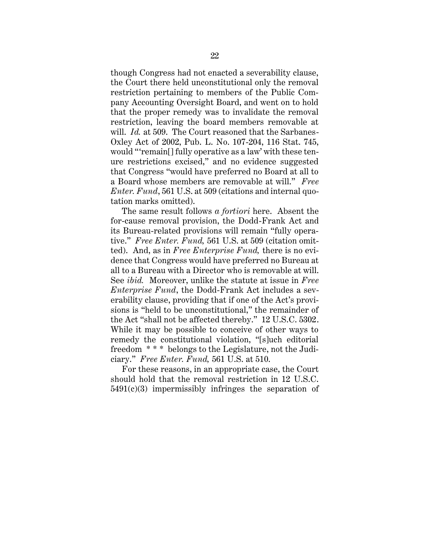though Congress had not enacted a severability clause, the Court there held unconstitutional only the removal restriction pertaining to members of the Public Company Accounting Oversight Board, and went on to hold that the proper remedy was to invalidate the removal restriction, leaving the board members removable at will. *Id.* at 509. The Court reasoned that the Sarbanes-Oxley Act of 2002, Pub. L. No. 107-204, 116 Stat. 745, would "'remain[] fully operative as a law' with these tenure restrictions excised," and no evidence suggested that Congress "would have preferred no Board at all to a Board whose members are removable at will." *Free Enter. Fund*, 561 U.S. at 509 (citations and internal quotation marks omitted).

The same result follows *a fortiori* here. Absent the for-cause removal provision, the Dodd-Frank Act and its Bureau-related provisions will remain "fully operative." *Free Enter. Fund,* 561 U.S. at 509 (citation omitted). And, as in *Free Enterprise Fund,* there is no evidence that Congress would have preferred no Bureau at all to a Bureau with a Director who is removable at will. See *ibid.* Moreover, unlike the statute at issue in *Free Enterprise Fund*, the Dodd-Frank Act includes a severability clause, providing that if one of the Act's provisions is "held to be unconstitutional," the remainder of the Act "shall not be affected thereby." 12 U.S.C. 5302. While it may be possible to conceive of other ways to remedy the constitutional violation, "[s]uch editorial freedom \* \* \* belongs to the Legislature, not the Judiciary." *Free Enter. Fund,* 561 U.S. at 510.

For these reasons, in an appropriate case, the Court should hold that the removal restriction in 12 U.S.C.  $5491(c)(3)$  impermissibly infringes the separation of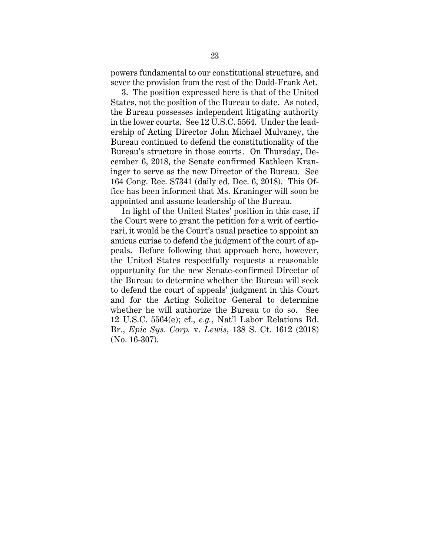powers fundamental to our constitutional structure, and sever the provision from the rest of the Dodd-Frank Act.

3. The position expressed here is that of the United States, not the position of the Bureau to date. As noted, the Bureau possesses independent litigating authority in the lower courts. See 12 U.S.C. 5564. Under the leadership of Acting Director John Michael Mulvaney, the Bureau continued to defend the constitutionality of the Bureau's structure in those courts. On Thursday, December 6, 2018, the Senate confirmed Kathleen Kraninger to serve as the new Director of the Bureau. See 164 Cong. Rec. S7341 (daily ed. Dec. 6, 2018). This Office has been informed that Ms. Kraninger will soon be appointed and assume leadership of the Bureau.

In light of the United States' position in this case, if the Court were to grant the petition for a writ of certiorari, it would be the Court's usual practice to appoint an amicus curiae to defend the judgment of the court of appeals. Before following that approach here, however, the United States respectfully requests a reasonable opportunity for the new Senate-confirmed Director of the Bureau to determine whether the Bureau will seek to defend the court of appeals' judgment in this Court and for the Acting Solicitor General to determine whether he will authorize the Bureau to do so. See 12 U.S.C. 5564(e); cf., *e.g.*, Nat'l Labor Relations Bd. Br., *Epic Sys. Corp.* v. *Lewis*, 138 S. Ct. 1612 (2018) (No. 16-307).